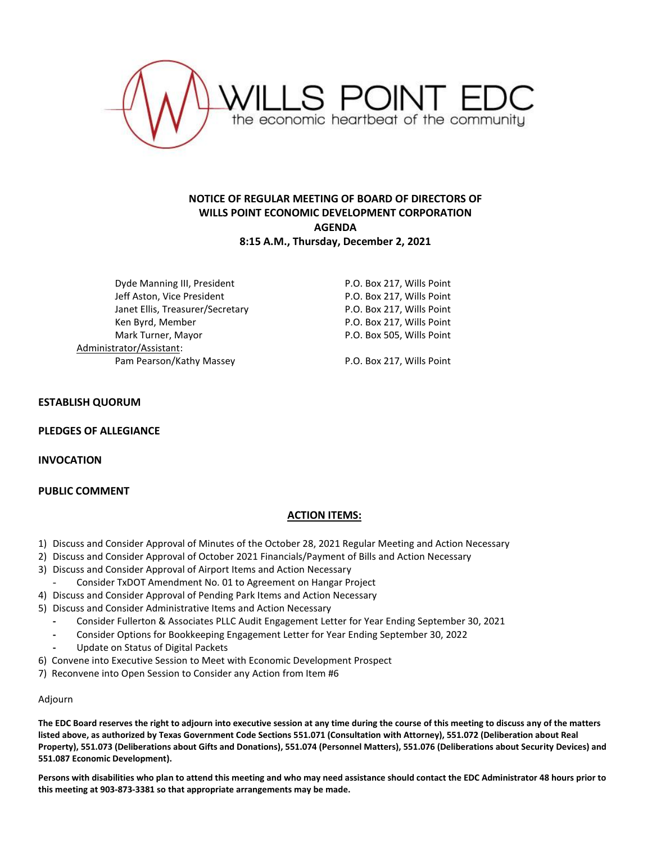

# **NOTICE OF REGULAR MEETING OF BOARD OF DIRECTORS OF WILLS POINT ECONOMIC DEVELOPMENT CORPORATION AGENDA 8:15 A.M., Thursday, December 2, 2021**

Dyde Manning III, President **P.O. Box 217, Wills Point** Jeff Aston, Vice President **P.O. Box 217, Wills Point** Janet Ellis, Treasurer/Secretary F.O. Box 217, Wills Point Ken Byrd, Member **New York Constructs** P.O. Box 217, Wills Point Mark Turner, Mayor **P.O. Box 505, Wills Point** Administrator/Assistant: Pam Pearson/Kathy Massey P.O. Box 217, Wills Point

#### **ESTABLISH QUORUM**

**PLEDGES OF ALLEGIANCE**

**INVOCATION**

## **PUBLIC COMMENT**

## **ACTION ITEMS:**

- 1) Discuss and Consider Approval of Minutes of the October 28, 2021 Regular Meeting and Action Necessary
- 2) Discuss and Consider Approval of October 2021 Financials/Payment of Bills and Action Necessary
- 3) Discuss and Consider Approval of Airport Items and Action Necessary
	- Consider TxDOT Amendment No. 01 to Agreement on Hangar Project
- 4) Discuss and Consider Approval of Pending Park Items and Action Necessary
- 5) Discuss and Consider Administrative Items and Action Necessary
	- **-** Consider Fullerton & Associates PLLC Audit Engagement Letter for Year Ending September 30, 2021
	- **-** Consider Options for Bookkeeping Engagement Letter for Year Ending September 30, 2022
	- **-** Update on Status of Digital Packets
- 6) Convene into Executive Session to Meet with Economic Development Prospect
- 7) Reconvene into Open Session to Consider any Action from Item #6

#### Adjourn

**The EDC Board reserves the right to adjourn into executive session at any time during the course of this meeting to discuss any of the matters listed above, as authorized by Texas Government Code Sections 551.071 (Consultation with Attorney), 551.072 (Deliberation about Real Property), 551.073 (Deliberations about Gifts and Donations), 551.074 (Personnel Matters), 551.076 (Deliberations about Security Devices) and 551.087 Economic Development).**

**Persons with disabilities who plan to attend this meeting and who may need assistance should contact the EDC Administrator 48 hours prior to this meeting at 903-873-3381 so that appropriate arrangements may be made.**